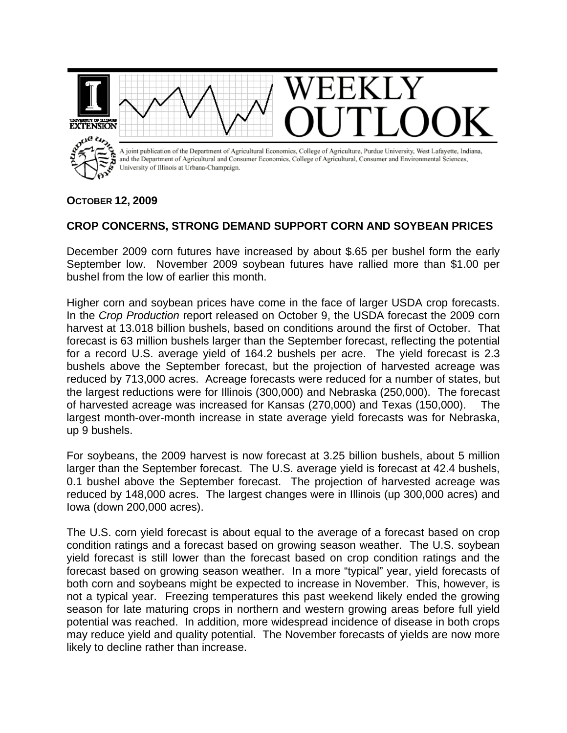

## **OCTOBER 12, 2009**

## **CROP CONCERNS, STRONG DEMAND SUPPORT CORN AND SOYBEAN PRICES**

December 2009 corn futures have increased by about \$.65 per bushel form the early September low. November 2009 soybean futures have rallied more than \$1.00 per bushel from the low of earlier this month.

Higher corn and soybean prices have come in the face of larger USDA crop forecasts. In the *Crop Production* report released on October 9, the USDA forecast the 2009 corn harvest at 13.018 billion bushels, based on conditions around the first of October. That forecast is 63 million bushels larger than the September forecast, reflecting the potential for a record U.S. average yield of 164.2 bushels per acre. The yield forecast is 2.3 bushels above the September forecast, but the projection of harvested acreage was reduced by 713,000 acres. Acreage forecasts were reduced for a number of states, but the largest reductions were for Illinois (300,000) and Nebraska (250,000). The forecast of harvested acreage was increased for Kansas (270,000) and Texas (150,000). The largest month-over-month increase in state average yield forecasts was for Nebraska, up 9 bushels.

For soybeans, the 2009 harvest is now forecast at 3.25 billion bushels, about 5 million larger than the September forecast. The U.S. average yield is forecast at 42.4 bushels, 0.1 bushel above the September forecast. The projection of harvested acreage was reduced by 148,000 acres. The largest changes were in Illinois (up 300,000 acres) and Iowa (down 200,000 acres).

The U.S. corn yield forecast is about equal to the average of a forecast based on crop condition ratings and a forecast based on growing season weather. The U.S. soybean yield forecast is still lower than the forecast based on crop condition ratings and the forecast based on growing season weather. In a more "typical" year, yield forecasts of both corn and soybeans might be expected to increase in November. This, however, is not a typical year. Freezing temperatures this past weekend likely ended the growing season for late maturing crops in northern and western growing areas before full yield potential was reached. In addition, more widespread incidence of disease in both crops may reduce yield and quality potential. The November forecasts of yields are now more likely to decline rather than increase.